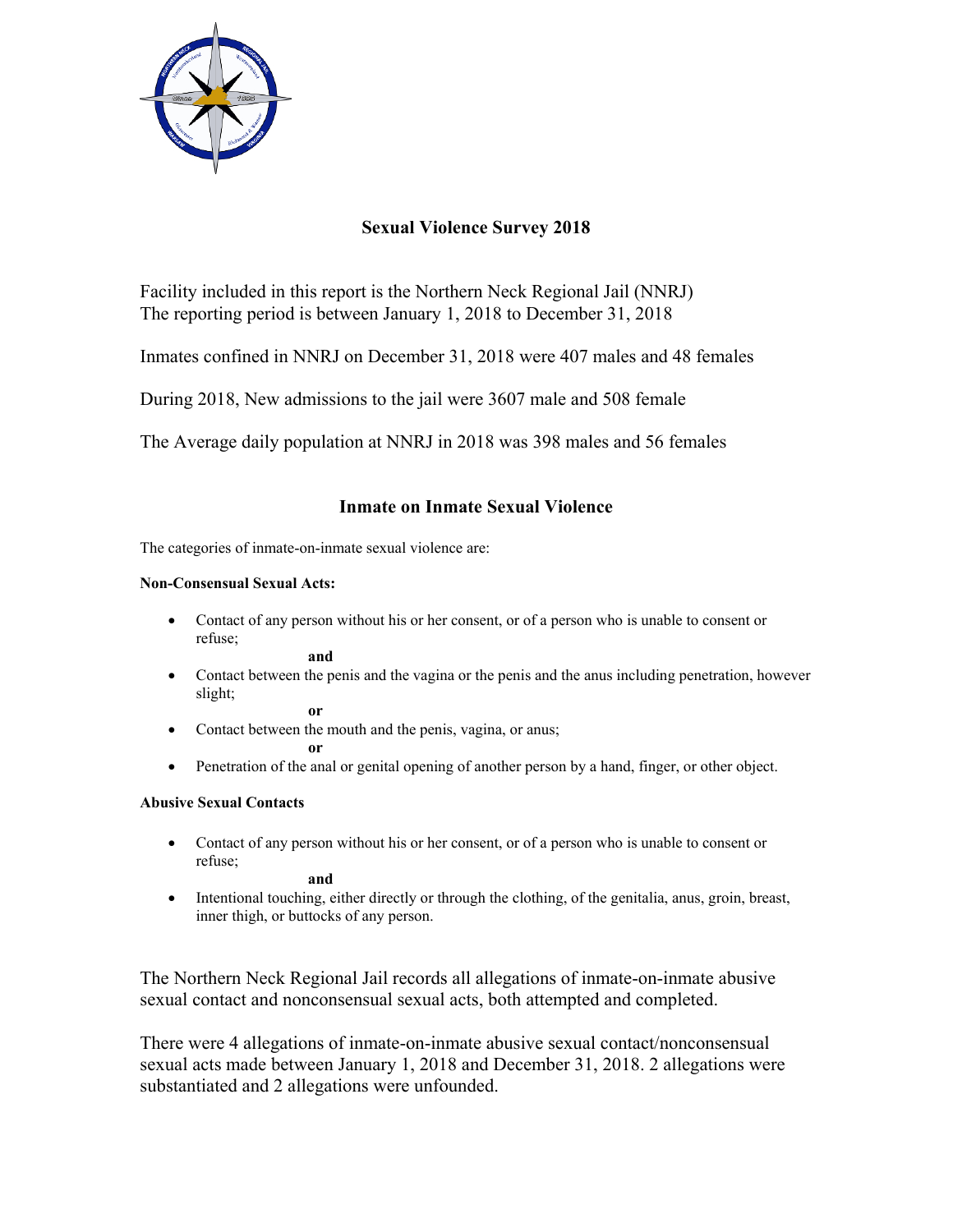

# **Sexual Violence Survey 2018**

Facility included in this report is the Northern Neck Regional Jail (NNRJ) The reporting period is between January 1, 2018 to December 31, 2018

Inmates confined in NNRJ on December 31, 2018 were 407 males and 48 females

During 2018, New admissions to the jail were 3607 male and 508 female

The Average daily population at NNRJ in 2018 was 398 males and 56 females

## **Inmate on Inmate Sexual Violence**

The categories of inmate-on-inmate sexual violence are:

### **Non-Consensual Sexual Acts:**

 Contact of any person without his or her consent, or of a person who is unable to consent or refuse;

**and**

 Contact between the penis and the vagina or the penis and the anus including penetration, however slight; **or** 

• Contact between the mouth and the penis, vagina, or anus;

**or** 

• Penetration of the anal or genital opening of another person by a hand, finger, or other object.

## **Abusive Sexual Contacts**

 Contact of any person without his or her consent, or of a person who is unable to consent or refuse;

**and** 

 Intentional touching, either directly or through the clothing, of the genitalia, anus, groin, breast, inner thigh, or buttocks of any person.

The Northern Neck Regional Jail records all allegations of inmate-on-inmate abusive sexual contact and nonconsensual sexual acts, both attempted and completed.

There were 4 allegations of inmate-on-inmate abusive sexual contact/nonconsensual sexual acts made between January 1, 2018 and December 31, 2018. 2 allegations were substantiated and 2 allegations were unfounded.